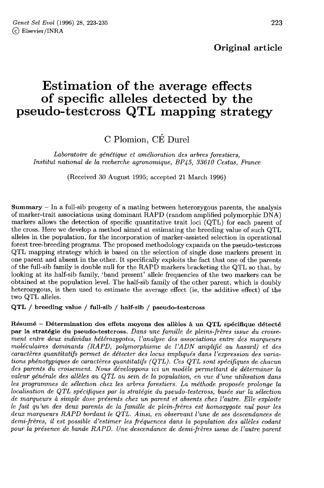# Estimation of the average effects of specific alleles detected by the pseudo-testcross QTL mapping strategy

## C Plomion, CÉ Durel

Laboratoire de génétique et amélioration des arbres forestiers, Institut national de la recherche agronomique, BP45, 33610 Cestas, France

(Received 30 August 1995; accepted 21 March 1996)

**Summary**  $-$  In a full-sib progeny of a mating between heterozygous parents, the analysis of marker-trait associations using dominant RAPD (random amplified polymorphic DNA) markers allows the detection of specific quantitative trait loci (QTL) for each parent of the cross. Here we develop a method aimed at estimating the breeding value of such QTL alleles in the population, for the incorporation of marker-assisted selection in operational forest tree-breeding programs. The proposed methodology expands on the pseudo-testcross QTL mapping strategy which is based on the selection of single dose markers present in one parent and absent in the other. It specifically exploits the fact that one of the parents of the full-sib family is double null for the RAPD markers bracketing the QTL so that, by looking at its half-sib family, 'band present' allele frequencies of the two markers can be obtained at the population level. The half-sib family of the other parent, which is doubly heterozygous, is then used to estimate the average effect (ie, the additive effect) of the two QTL alleles.

QTL / breeding value / full-sib / half-sib / pseudo-testcross

Résumé - Détermination des effets moyens des allèles à un QTL spécifique détecté par la stratégie du pseudo-testcross. Dans une famille de pleins-frères issue du croisement entre deux individus hétérozygotes, l'analyse des associations entre des marqueurs moléculaires dominants (RAPD, polymorphisme de l'ADN amplifié au hasard) et des caractères quantitatifs permet de détecter des locus impliqués dans l'expression des variations phénotypiques de caractères quantitatifs (QTL). Ces QTL sont spécifiques de chacun des parents du croisement. Nous développons ici un modèle permettant de déterminer la valeur générale des allèles au QTL au sein de la population, en vue d'une utilisation dans les programmes de sélection chez les arbres forestiers. La méthode proposée prolonge la localisation de QTL spécifiques par la stratégie du pseudo-testcross, basée sur la sélection de marqueurs à simple dose présents chez un parent et absents chez l'autre. Elle exploite le fait qu'un des deux parents de la famille de plein-frères est homozygote nul pour les deux marqueurs RAPD bordant le QTL. Ainsi, en observant l'une de ses descendances de demi-frères, il est possible d'estimer les fréquences dans la population des allèles codant pour la présence de bande RAPD. Une descendance de demi-frères issue de l'autre parent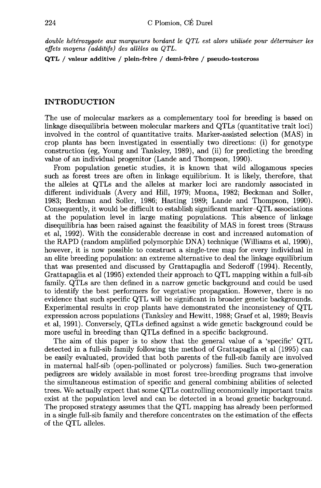double hétérozygote aux marqueurs bordant le QTL est alors utilisée pour déterminer les effets moyens (additifs) des allèles au QTL.

QTL / valeur additive / plein-frère / demi-frère / pseudo-testcross

#### INTRODUCTION

The use of molecular markers as a complementary tool for breeding is based on linkage disequilibria between molecular markers and QTLs (quantitative trait loci) involved in the control of quantitative traits. Marker-assisted selection (MAS) in crop plants has been investigated in essentially two directions: (i) for genotype construction (eg, Young and Tanksley, 1989), and (ii) for predicting the breeding value of an individual progenitor (Lande and Thompson, 1990).

From population genetic studies, it is known that wild allogamous species such as forest trees are often in linkage equilibrium. It is likely, therefore, that the alleles at QTLs and the alleles at marker loci are randomly associated in different individuals (Avery and Hill, 1979; Muona, 1982; Beckman and Soller, 1983; Beckman and Soller, 1986; Hasting 1989; Lande and Thompson, 1990). Consequently, it would be difficult to establish significant marker-QTL associations at the population level in large mating populations. This absence of linkage disequilibria has been raised against the feasibility of MAS in forest trees (Strauss et al, 1992). With the considerable decrease in cost and increased automation of the RAPD (random amplified polymorphic DNA) technique (Williams et al, 1990), however, it is now possible to construct a single-tree map for every individual in an elite breeding population: an extreme alternative to deal the linkage equilibrium that was presented and discussed by Grattapaglia and Sederoff (1994). Recently, Grattapaglia et al (1995) extended their approach to QTL mapping within a full-sib family. QTLs are then defined in a narrow genetic background and could be used to identify the best performers for vegetative propagation. However, there is no evidence that such specific QTL will be significant in broader genetic backgrounds. Experimental results in crop plants have demonstrated the inconsistency of QTL expression across populations (Tanksley and Hewitt, 1988; Graef et al, 1989; Beavis et al, 1991). Conversely, QTLs defined against a wide genetic background could be more useful in breeding than QTLs defined in a specific background.

The aim of this paper is to show that the general value of a 'specific' QTL detected in a full-sib family following the method of Grattapaglia et al (1995) can be easily evaluated, provided that both parents of the full-sib family are involved in maternal half-sib (open-pollinated or polycross) families. Such two-generation pedigrees are widely available in most forest tree-breeding programs that involve the simultaneous estimation of specific and general combining abilities of selected trees. We actually expect that some QTLs controlling economically important traits exist at the population level and can be detected in a broad genetic background. The proposed strategy assumes that the QTL mapping has already been performed in a single full-sib family and therefore concentrates on the estimation of the effects of the QTL alleles.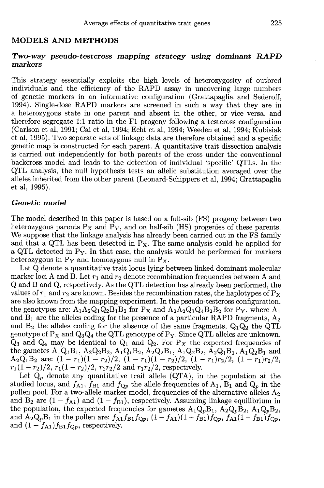#### MODELS AND METHODS

#### Two-way pseudo-testcross mapping strategy using dominant RAPD markers

This strategy essentially exploits the high levels of heterozygosity of outbred individuals and the efficiency of the RAPD assay in uncovering large numbers of genetic markers in an informative configuration (Grattapaglia and Sederoff, 1994). Single-dose RAPD markers are screened in such a way that they are in a heterozygous state in one parent and absent in the other, or vice versa, and therefore segregate l:l ratio in the F1 progeny following a testcross configuration (Carlson et al, 1991; Cai et al, 1994; Echt et al, 1994; Weeden et al, 1994; Kubisiak et al, 1995). Two separate sets of linkage data are therefore obtained and a specific genetic map is constructed for each parent. A quantitative trait dissection analysis is carried out independently for both parents of the cross under the conventional backcross model and leads to the detection of individual 'specific' QTLs. In the QTL analysis, the null hypothesis tests an allelic substitution averaged over the alleles inherited from the other parent (Leonard-Schippers et al, 1994; Grattapaglia et al, 1995).

#### Genetic model

The model described in this paper is based on a full-sib (FS) progeny between two heterozygous parents  $P_X$  and  $P_Y$ , and on half-sib (HS) progenies of these parents. We suppose that the linkage analysis has already been carried out in the FS family and that a QTL has been detected in  $P_X$ . The same analysis could be applied for a QTL detected in P<sub>Y</sub>. In that case, the analysis would be performed for markers heterozygous in P<sub>Y</sub> and homozygous null in P<sub>X</sub>. Let Q denote a quantitative trait locus lying between linked dominant molecular

marker loci A and B. Let  $r_1$  and  $r_2$  denote recombination frequencies between A and Q and B and Q, respectively. As the QTL detection has already been performed, the values of  $r_1$  and  $r_2$  are known. Besides the recombination rates, the haplotypes of  $P_X$  are also known from the mapping experiment. In the pseudo-testcross configuration, the genotypes are:  $A_1A_2Q_1Q_2B_1B_2$  for and that a Q1L has been detected in  $P_X$ . The same analysis could be applied for<br>a QTL detected in  $P_Y$ . In that case, the analysis would be performed for markers<br>heterozygous in  $P_Y$  and homozygous null in  $P_X$ .<br>Let Q de the genotypes are:  $A_1A_2Q_1Q_2B_1B_2$  for  $P_X$  and  $A_2A_2Q_3Q_4B_2B_2$  for  $P_Y$ , where  $A_1$ <br>and  $B_1$  are the alleles coding for the presence of a particular RAPD fragments,  $A_2$ <br>and  $B_2$  the alleles coding for the and  $B_2$  the alleles coding for the absence of the same fragments,  $Q_1Q_2$  the QTL genotype of  $P_X$  and  $Q_3Q_4$  the QTL genotype of  $P_Y$ . Since QTL alleles are unknown,  $Q_3$  and  $Q_4$  may be identical to  $Q_1$  and  $Q_2$ . For  $P_X$  the expected frequencies of and  $B_1$  are the alleles coding for the presence of a particular KAPD fragments,  $A_2$  and  $B_2$  the alleles coding for the absence of the same fragments,  $Q_1Q_2$  the QTL genotype of  $P_X$  and  $Q_3Q_4$  the QTL genotype o The genotypes are:  $A_1A_2Q_1Q_2B_1B_2$  for  $P_X$  and  $A_2A_2Q_3Q_4B_2B_2$  for  $P_Y$ , where  $A_1$  and  $B_1$  are the alleles coding for the presence of a particular RAPD fragments,  $A_2$  and  $B_2$  the alleles coding for the and  $B_1$  are the alleles coding for the presence of a particul<br>and  $B_2$  the alleles coding for the absence of the same fra<br>genotype of  $P_X$  and  $Q_3Q_4$  the QTL genotype of  $P_Y$ . Since  $Q_3$  and  $Q_4$  may be identical t

Let  $Q_p$  denote any quantitative trait allele (QTA), in the population at the Let  $Q_p$  denote any quantitative trait allele (QTA), in the population at the studied locus, and  $f_{A1}$ ,  $f_{B1}$  and  $f_{Qp}$  the allele frequencies of  $A_1$ ,  $B_1$  and  $Q_p$  in the pollon pool. For a two allele morker mod pollen pool. For a two-allele marker model, frequencies of  $A_1$ ,  $B_1$  and  $Q_p$  in the pollen pool. For a two-allele marker model, frequencies of the alternative alleles  $A_2$  and  $B_2$  are  $(1 - f_{A1})$  and  $(1 - f_{B1})$ , res and  $D_2$  are  $(1 - j_{\text{Al}})$  and  $(1 - j_{\text{Bl}})$ , respectively. Assuming mixage equinometric form the expected frequencies for gametes  $A_1 Q_p B_1$ ,  $A_2 Q_p B_2$ , A and  $A_2Q_pB_1$  in the pollen are:  $f_{A1}f_{B1}f_{Qp}$ , (1 – and  $(1 - f_{A1}) f_{B1} f_{Qp}$ , respectively. et  $Q_p$  denote any quantitative trait allele (QTA), in the population at the docus, and  $f_{A1}$ ,  $f_{B1}$  and  $f_{Qp}$  the allele frequencies of  $A_1$ ,  $B_1$  and  $Q_p$  in the pool. For a two-allele marker model, frequencies In at the  $Q_p$  in the alleles  $A_2$ <br>brium in  $A_1 Q_p B_2$ ,  $f_{B1}$ )  $f_{Qp}$ ,  $\begin{array}{l} \epsilon_p \text{ in the}\ \text{all} \text{eles}~\text{A}_2\ \text{brium in}\ \text{A}_1\text{Q}_p\text{B}_2,\ \text{f}_{\text{B}1})f_{\text{Q}p}, \end{array}$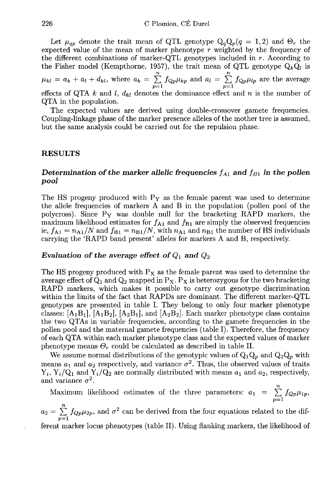Let  $\mu_{qp}$  denote the trait mean of QTL genotype  $Q_q Q_p(q = 1, 2)$  and  $\Theta_r$  the expected value of the mean of marker phenotype  $r$  weighted by the frequency of the different combinations of marker-QTL genotypes included in  $r$ . According to the Fisher model (Kempthorne, 1957), the trait mean of QTL genotype  $Q_k\tilde{Q}_l$  is  $\mu_{kl} = a_k + a_l + d_{kl}$ , where  $a_k = \sum_{p=1}^n f_{\mathbf{Q}p}\mu_{kp}$  and  $a_l = \sum_{p=1}^n f_{\mathbf{Q}p}\mu_{lp}$  are the average effects of QTA k and l,  $d_{kl}$  denotes the dominance effect and n is the number of QTA in the population.

The expected values are derived using double-crossover gamete frequencies. Coupling-linkage phase of the marker presence alleles of the mother tree is assumed, but the same analysis could be carried out for the repulsion phase.

#### RESULTS

### Determination of the marker allelic frequencies  $f_{A1}$  and  $f_{B1}$  in the pollen pool

The HS progeny produced with  $P_Y$  as the female parent was used to determine the allele frequencies of markers A and B in the population (pollen pool of the polycross). Since  $P_Y$  was double null for the bracketing RAPD markers, the maximum likelihood estimates for  $f_{A1}$  and  $f_{B1}$  are simply the observed frequencies ie,  $f_{A1} = n_{A1}/N$  and  $f_{B1} = n_{B1}/N$ , with  $n_{A1}$  and  $n_{B1}$  the number of HS individuals carrying the 'RAPD band present' alleles for markers A and B, respectively.<br>**Evaluation of the average effect of**  $Q_1$  and  $Q_2$ 

The HS progeny produced with  $P_X$  as the female parent was used to determine the average effect of  $Q_1$  and  $Q_2$  mapped in  $P_X$ .  $P_X$  is heterozygous for the two bracketing RAPD markers, which makes it possible to carry out genotype discrimination within the limits of the fact that RAPDs are dominant. The different marker-QTL genotypes are presented in table I. They belong to only four marker phenotype classes:  $[A_1B_1]$ ,  $[A_1B_2]$ ,  $[A_2B_1]$ , and  $[A_2B_2]$ . Each marker phenotype class contains the two (aTAs in variable frequencies, according to the gamete frequencies in the pollen pool and the maternal gamete frequencies (table I). Therefore, the frequency of each QTA within each marker phenotype class and the expected values of marker phenotype means  $\Theta_r$  could be calculated as described in table II.

We assume normal distributions of the genotypic values of  $Q_1 Q_p$  and  $Q_2 Q_p$  with means  $a_1$  and  $a_2$  respectively, and variance  $\sigma^2$ . Thus, the observed values of traits  $Y_i$ ,  $Y_i/Q_1$  and  $Y_i/Q_2$  are normally distributed with means  $a_1$  and  $a_2$ , respectively, and variance  $\sigma^2$ . and variance  $\sigma^2$ .  $N_i$ ,  $Y_i/Q_1$  and  $Y_i/Q_2$  are normally distributed with means  $a_1$  and  $a_2$ , respectively, and variance  $\sigma^2$ .<br>Maximum likelihood estimates of the three parameters:  $a_1 = \sum_{p=1}^{n} f_{Qp}\mu_{1p}$ ,  $a_2 = \sum_{p=1}^{n} f_{Qp}\mu_{2p}$ 

 $a_2 = \sum_{n=1}^n f_{Qp}\mu_{2p}$ , and  $\sigma^2$  can be derived from the four equations related to the dif-

ferent marker locus phenotypes (table II). Using flanking markers, the likelihood of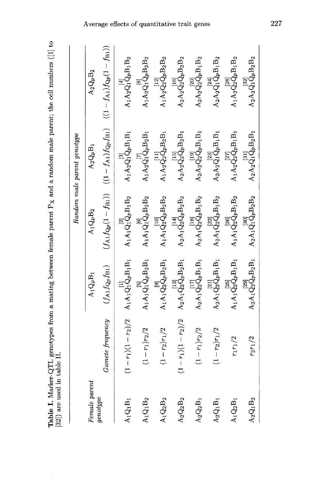| $\vdots$                                                                                                                                                                                                                        |                                                                                              |
|---------------------------------------------------------------------------------------------------------------------------------------------------------------------------------------------------------------------------------|----------------------------------------------------------------------------------------------|
| בנו היום היום בין היום בין היום בין היום היום בין היום בין היום בין היום בין היום בין היום בין היום בין היום ב<br>היום בין היום בין היום בין היום בין היום בין היום בין היום בין היום בין היום בין היום בין היום בין היום בין ה |                                                                                              |
|                                                                                                                                                                                                                                 |                                                                                              |
|                                                                                                                                                                                                                                 |                                                                                              |
|                                                                                                                                                                                                                                 |                                                                                              |
|                                                                                                                                                                                                                                 |                                                                                              |
|                                                                                                                                                                                                                                 |                                                                                              |
|                                                                                                                                                                                                                                 |                                                                                              |
|                                                                                                                                                                                                                                 |                                                                                              |
|                                                                                                                                                                                                                                 |                                                                                              |
|                                                                                                                                                                                                                                 |                                                                                              |
| on famala parant D-, and a random male parent: the cell                                                                                                                                                                         |                                                                                              |
|                                                                                                                                                                                                                                 |                                                                                              |
|                                                                                                                                                                                                                                 |                                                                                              |
| .<br>.<br>.                                                                                                                                                                                                                     |                                                                                              |
| aatta a watting a                                                                                                                                                                                                               |                                                                                              |
|                                                                                                                                                                                                                                 |                                                                                              |
| <br> <br>                                                                                                                                                                                                                       |                                                                                              |
|                                                                                                                                                                                                                                 |                                                                                              |
|                                                                                                                                                                                                                                 |                                                                                              |
|                                                                                                                                                                                                                                 |                                                                                              |
|                                                                                                                                                                                                                                 |                                                                                              |
|                                                                                                                                                                                                                                 |                                                                                              |
|                                                                                                                                                                                                                                 | ֧֧֧֧֧֧֧֧֧֧֧֧֧֧֧֧֧֧֧֧֧֧֧֧֧֛֧֧֚֚֚֚֚֚֚֚֚֚֚֚֚֚֡֓֓֝֓֝֓֝֓֓֝֓֝֬֝֬֝֓֓֝֬֓֓֓֓֓֓֓֝֬֝֬֝֬֝֬֝֬֝֬֝֬֝֬֝֬֝֬֝֬ |
| にりりょう<br>İ                                                                                                                                                                                                                      |                                                                                              |
| ֧֦֧֓֕֜֜֜                                                                                                                                                                                                                        |                                                                                              |
|                                                                                                                                                                                                                                 |                                                                                              |
|                                                                                                                                                                                                                                 | i<br>Sport                                                                                   |
|                                                                                                                                                                                                                                 |                                                                                              |
| Table I. M                                                                                                                                                                                                                      | 3<br>.                                                                                       |
|                                                                                                                                                                                                                                 | $\sim$<br>֦֧֦֦֧֦֦֦֦֦֦֦֦֦֦֦֦֦֦֦֡֕֡֡                                                           |

|               |                                              |                                                                                                                         |                                                                                                                                                                 | Random male parent genotype                                                                                        |                                                                                                                |
|---------------|----------------------------------------------|-------------------------------------------------------------------------------------------------------------------------|-----------------------------------------------------------------------------------------------------------------------------------------------------------------|--------------------------------------------------------------------------------------------------------------------|----------------------------------------------------------------------------------------------------------------|
| Female parent |                                              | $A_1Q_pB_1$                                                                                                             | $\mathrm{A}_1\mathrm{Q}_\mathrm{p}\mathrm{B}_2$                                                                                                                 | $A_2Q_pB_1$                                                                                                        | $A_2Q_pB_2$                                                                                                    |
| genotype      | Gamete frequency                             | $(f_{\rm A1}f_{\rm Qp}f_{\rm B1})$                                                                                      |                                                                                                                                                                 |                                                                                                                    | $(f_{A1}f_{Qp}(1 - f_{B1}))$ $((1 - f_{A1})f_{Qp}f_{B1})$ $((1 - f_{A1})f_{Qp}(1 - f_{B1}))$                   |
| $A_1Q_1B_1$   |                                              | $(1-r_1)(1-r_2)/2 \quad A_1A_1Q_1Q_pB_1B_1 \quad A_1A_1Q_1Q_pB_1B_2$                                                    |                                                                                                                                                                 | $\begin{array}{cc} & [3] \cr A_1A_2Q_1Q_pB_1B_1 \end{array}$                                                       | $\mathrm{A}_1\mathrm{A}_2\mathrm{Q}_1\mathrm{Q}_p\mathrm{B}_1\mathrm{B}_2$                                     |
| $A_1Q_1B_2$   | $(1-r_1)r_2/2$                               | $\mathbf{A}_1 \mathbf{A}_1 \mathbf{Q}_1 \mathbf{Q}_p \mathbf{B}_2 \mathbf{B}_1$                                         | $\mathbf{A}_1\mathbf{A}_1\mathbf{Q}_1\mathbf{Q}_p\mathbf{B}_2\mathbf{B}_2$                                                                                      | $\mathrm{A}_1\mathrm{A}_2\mathrm{Q}_1\mathrm{Q}_p\mathrm{B}_2\mathrm{B}_1$                                         | $\begin{array}{c} [8] \\ \text{A}_1\text{A}_2\text{Q}_1\text{Q}_p\text{B}_2\text{B}_2 \end{array}$             |
| $A_1Q_2B_2$   | $(1-r_2)r_1/2$                               | $\mathbf{A}_1 \mathbf{A}_1 \mathbf{Q}_2 \mathbf{Q}_p \mathbf{B}_2 \mathbf{B}_1$                                         | $\begin{array}{ll} & [10] \\ A_1A_1Q_2Q_pB_2B_2 \end{array}$                                                                                                    | $\begin{array}{ll} & [11] \\ \mathbf{A}_1\mathbf{A}_2\mathbf{Q}_2\mathbf{Q}_p\mathbf{B}_2\mathbf{B}_1 \end{array}$ | $\begin{array}{ll} \Lambda_1\Lambda_2Q_2Q_pB_2B_2\\ \end{array}$                                               |
| $A_2Q_2B_2$   | $(1-r_1)(1-r_2)/2 \qquad A_2A_1Q_2Q_pB_2B_1$ |                                                                                                                         | $\begin{array}{ll} \vspace{2pt} \mathrm{14} & \vspace{2pt} \mathrm{14} \\ \mathrm{A}_2\mathrm{A}_1\mathrm{Q}_2\mathrm{Q}_p\mathrm{B}_2\mathrm{B}_2 \end{array}$ | $A_2A_2Q_2Q_pB_2B_1$                                                                                               | $\mathbf{A}_2\mathbf{A}_2\mathbf{Q}_2\mathbf{Q}_p\mathbf{B}_2\mathbf{B}_2$<br>161                              |
| $A_2Q_2B_1$   | $(1-r_1)r_2/2$                               | $A_2A_1Q_2Q_pB_1B_1$                                                                                                    | $\mathbf{A}_2\mathbf{A}_1\dot{\mathbf{Q}_2}\dot{\mathbf{Q}}_p\mathbf{B}_1\mathbf{B}_2$                                                                          | $A_2A_2Q_2Q_pB_1B_1$                                                                                               | $A_2A_2Q_2Q_pB_1B_2\\$                                                                                         |
| $A_2Q_1B_1$   | $(1-r_2)r_1/2$                               | $\mathbf{A}_2\mathbf{A}_1\mathbf{Q}_2\mathbf{Q}_p\mathbf{B}_1\mathbf{B}_1$                                              | $\begin{array}{cc} & [22] \cr A_2A_1Q_2Q_pB_1B_2 \end{array}$                                                                                                   | $A_2A_2Q_1Q_pB_1B_1$                                                                                               | ${\bf A}_2 {\bf A}_2 {\bf Q}_1 {\bf Q}_p {\bf B}_1 {\bf B}_2$                                                  |
| $A_1Q_2B_1$   | $r_1 r_1 / 2$                                | $A_1A_1Q_2Q_pB_1B_1$                                                                                                    | $A_1A_1Q_2Q_pB_1B_2$                                                                                                                                            | $A_1A_2Q_2Q_pB_1B_1$                                                                                               | ${\cal A}_1 {\cal A}_2 {\cal Q}_2 {\cal Q}_p {\cal B}_1 {\cal B}_2$                                            |
| $A_2Q_1B_2$   | $r_2r_1/2$                                   | $\begin{array}{c} \mathrm{[29]} \ \mathrm{A}_2\mathrm{A}_1\mathrm{Q}_2\mathrm{Q}_p\mathrm{B}_2\mathrm{B}_1 \end{array}$ | $\mathrm{A}_2\mathrm{A}_1\mathrm{Q}_1\mathrm{Q}_p\mathrm{B}_2\mathrm{B}_2$                                                                                      | $\mathrm{A}_2\mathrm{A}_2\mathrm{Q}_1\mathrm{Q}_p\mathrm{B}_2\mathrm{B}_1$                                         | $\begin{array}{c} [32] \ \text{A}_{2}\text{A}_{2}\text{Q}_{1}\text{Q}_{p}\text{B}_{2}\text{B}_{2} \end{array}$ |

## Average effects of quantitative trait genes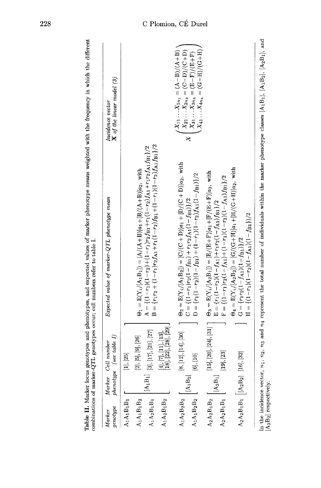| Marker<br>genotype<br>Marker                                   | $phenotype$ (see table $I$ )<br>Cell number                                   | Expected value of marker-QTL phenotype mean                                                                                                                                            | $\boldsymbol{X}$ of the linear model $(3)$<br>Incidence vector                                                                    |
|----------------------------------------------------------------|-------------------------------------------------------------------------------|----------------------------------------------------------------------------------------------------------------------------------------------------------------------------------------|-----------------------------------------------------------------------------------------------------------------------------------|
| $A_1A_1B_1B_1$                                                 | [1], [25]                                                                     |                                                                                                                                                                                        |                                                                                                                                   |
| $A_1A_1B_1B_2$                                                 | [2], [5], [9], [26]                                                           | $\Theta_1 = E(Y_i/[A_1B_1]) = [A/(A+B)]a_1+[B/(A+B)]a_2$ , with                                                                                                                        |                                                                                                                                   |
| $A_1B_1$<br>$\mathbf{A}_1\mathbf{A}_2\mathbf{B}_1\mathbf{B}_1$ | [3], [17], [21], [27]                                                         | $B = \{r_1r_2 + (1-r_1)r_2f_{A1} + r_1(1-r_2)f_{B1} + (1-r_1)(1-r_2)f_{A1}f_{B1}\}/2$<br>$A = \{(1 - r_1)(1 - r_2) + (1 - r_1)r_2f_{B1} + r_1(1 - r_2)f_{A1} + r_1r_2f_{A1}f_{B1}\}/2$ |                                                                                                                                   |
| $\rm A_1A_2B_1B_2$                                             | $\begin{bmatrix} 4], [7], [11], [13], \ [18], [22], [28], [29] \end{bmatrix}$ |                                                                                                                                                                                        |                                                                                                                                   |
| $\mathrm{A}_1\mathrm{A}_2\mathrm{B}_2\mathrm{B}_2$             | [8, [12], [14], [30]                                                          | $\Theta_2 = E(Y_i/[A_1B_2]) = [C/(C+D)]a_1 + [D/(C+D)]a_2$ , with                                                                                                                      | $X_{11} \ldots X_{1n_1} = (A - B)/(A + B)$<br>$X_{21} \ldots X_{2n_2} = (C - D)/(C + D)$                                          |
| $A_1B_2$<br>$\rm A_1A_1B_2B_2$                                 | $[6]$ , $[10]$                                                                | $D = {r_1(1 - r_2)(1 - f_{B1}) + (1 - r_1)(1 - r_2)f_{A1}(1 - f_{B1})}/2$<br>$C = \{(1 - r_1)r_2(1 - f_{B1}) + r_1r_2f_{A1}(1 - f_{B1})\}/2$                                           | $X_{41} \ldots X_{4n_4} = (G - H)/(G + H)$<br>$X_{31}\ldots X_{3n_3}=(\mathbb{E}-\mathbb{F})/(\mathbb{E}+\mathbb{F})$<br>$\times$ |
| $\mathrm{A}_2\mathrm{A}_2\mathrm{B}_1\mathrm{B}_2$             | $[15], [20], [24], [31]$ ]                                                    | $\Theta_3 = \text{E}(Y_i/[A_2B_1]) = [\text{E}/(\text{E} + \text{F})]a_1 + [\text{F}/(\text{E} + \text{F})]a_2$ , with                                                                 |                                                                                                                                   |
| $A_2B_1$<br>$\mathbf{A}_2\mathbf{A}_2\mathbf{B}_1\mathbf{B}_1$ | [19], [23]                                                                    | $F = \{(1 - r_1)r_2(1 - f_{A1}) + (1 - r_1)(1 - r_2)(1 - f_{A1})f_{B1}\}/2$<br>$E = {r_1(1 - r_2)(1 - f_{A1}) + r_1r_2(1 - f_{A1})f_{B1}})/2$                                          |                                                                                                                                   |
| $A_2A_2B_1B_1$ [ $A_2B_2$ ]                                    | [16], [32]                                                                    | $\Theta_4 = E(Y_i/[A_2B_2]) = [G/(G+H)]a_1 + [H/(G+H)]a_2$ , with<br>$G = {r_1 r_2 (1 - f_{A1}) (1 - f_{B1})}/2$                                                                       |                                                                                                                                   |
|                                                                |                                                                               | $H = \{(1 - r_1)(1 - r_2)(1 - f_{A1})(1 - f_{B1})\}/2$                                                                                                                                 |                                                                                                                                   |

Table II. Marker locus genotypes and phenotypes, and expected values of marker phenotype means weighted with the frequency in which the different combinations of marker-QTL genotypes occur; cell numbers refer to table I.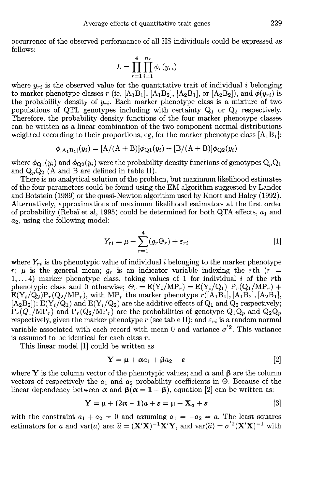occurrence of the observed performance of all HS individuals could be expressed as follows:

$$
L = \prod_{r=1}^4 \prod_{i=1}^{n_r} \phi_r(y_{ri})
$$

where  $y_{ri}$  is the observed value for the quantitative trait of individual i belonging to marker phenotype classes r (ie,  $[A_1B_1]$ ,  $[A_1B_2]$ ,  $[A_2B_1]$ , or  $[A_2B_2]$ ), and  $\phi(y_{ri})$  is the probability density of  $y_{ri}$ . Each marker phenotype class is a mixture of two populations of QTL genotypes including with certainty  $Q_1$  or  $Q_2$  respectively. Therefore, the probability density functions of the four marker phenotype classes can be written as a linear combination of the two component normal distributions weighted according to their proportions, eg, for the marker phenotype class  $[A_1B_1]$ :

$$
\phi_{[A_1B_1]}(y_i) = [A/(A+B)]\phi_{Q1}(y_i) + [B/(A+B)]\phi_{Q2}(y_i)
$$

 $\phi_{[A_1B_1]}(y_i) = [A/(A+B)]\phi_{Q1}(y_i) + [B/(A+B)]\phi_{Q2}(y_i)$ <br>where  $\phi_{Q1}(y_i)$  and  $\phi_{Q2}(y_i)$  were the probability density functions of genotypes  $Q_pQ_1$ <br>and  $Q_pQ_2$  (A and B are defined in table II). where  $\phi_{Q_1}(y_i)$  and  $\phi_{Q_2}(y_i)$  were the probabili<br>and  $Q_pQ_2$  (A and B are defined in table II).<br>There is no analytical solution of the probl

There is no analytical solution of the problem, but maximum likelihood estimates of the four parameters could be found using the EM algorithm suggested by Lander and Botstein (1989) or the quasi-Newton algorithm used by Knott and Haley (1992). Alternatively, approximations of maximum likelihood estimators at the first order of probability (Rebai et al, 1995) could be determined for both QTA effects,  $a_1$  and  $a_2$ , using the following model:

$$
Y_{ri} = \mu + \sum_{r=1}^{4} (g_r \Theta_r) + \varepsilon_{ri}
$$
 [1]

where  $Y_{ri}$  is the phenotypic value of individual i belonging to the marker phenotype r;  $\mu$  is the general mean;  $g_r$  is an indicator variable indexing the rth (r =  $1, \ldots 4$ ) marker phenotype class, taking values of 1 for individual i of the rth  $Y_{ri} = \mu + \sum_{r=1} (g_r \Theta_r) + \varepsilon_{ri}$  [1]<br>where  $Y_{ri}$  is the phenotypic value of individual *i* belonging to the marker phenotype<br>r;  $\mu$  is the general mean;  $g_r$  is an indicator variable indexing the rth  $(r = 1,... 4)$  marker p Alternatively, approximations of maximum likelihood estimators at the first order<br>of probability (Rebaï et al, 1995) could be determined for both QTA effects,  $a_1$  and<br> $a_2$ , using the following model:<br> $Y_{ri} = \mu + \sum_{r=1}^4$ where  $Y_{ri}$  is the phenotypic value of individual  $i$  belonging to the marker phenotype  $r$ ;  $\mu$  is the general mean;  $g_r$  is an indicator variable indexing the  $r$ th  $(r = 1, \ldots, 4)$  marker phenotype class, taking values respectively, given the marker phenotype r (see table II); and  $\varepsilon_{ri}$  is a random normal variable associated with each record with mean 0 and variance  $\sigma^{'2}$ . This variance is assumed to be identical for each class  $r$ .

This linear model [1] could be written as

$$
\mathbf{Y} = \mathbf{\mu} + \alpha a_1 + \beta a_2 + \boldsymbol{\varepsilon} \tag{2}
$$

where Y is the column vector of the phenotypic values; and  $\alpha$  and  $\beta$  are the column vectors of respectively the  $a_1$  and  $a_2$  probability coefficients in  $\Theta$ . Because of the linear dependency between  $\alpha$  and  $\beta(\alpha = 1 - \beta)$ , equation [2] can be written as: where **Y** is the column vector of the phenotypic values; and  $\alpha$  and  $\beta$  are the column vectors of respectively the  $a_1$  and  $a_2$  probability coefficients in  $\Theta$ . Because of the linear dependency between  $\alpha$  and  $\beta$ 

$$
\mathbf{Y} = \mathbf{\mu} + (2\alpha - 1)a + \boldsymbol{\varepsilon} = \mathbf{\mu} + \mathbf{X}_a + \boldsymbol{\varepsilon}
$$
 [3]

inear dependency between  $\alpha$  and  $\beta(\alpha = 1 - \beta)$ , equation [2] can be written as:<br>  $\mathbf{Y} = \mu + (2\alpha - 1)a + \varepsilon = \mu + \mathbf{X}_a + \varepsilon$  [3]<br>
with the constraint  $a_1 + a_2 = 0$  and assuming  $a_1 = -a_2 = a$ . The least squares<br>
estimators fo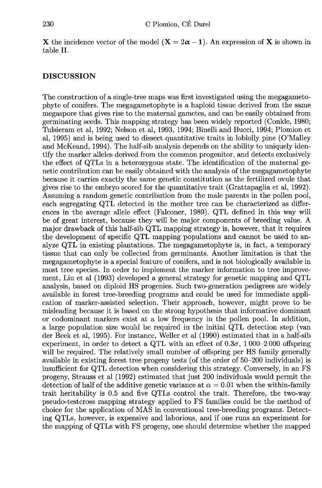**X** the incidence vector of the model  $(X = 2\alpha - 1)$ . An expression of X is shown in table II.

#### DISCUSSION

The construction of a single-tree maps was first investigated using the megagametophyte of conifers. The megagametophyte is a haploid tissue derived from the same megaspore that gives rise to the maternal gametes, and can be easily obtained from germinating seeds. This mapping strategy has been widely reported (Conkle, 1980; Tulsieram et al, 1992; Nelson et al, 1993, 1994; Binelli and Bucci, 1994; Plomion et al, 1995) and is being used to dissect quantitative traits in loblolly pine (O'Malley and McKeand, 1994). The half-sib analysis depends on the ability to uniquely identify the marker alleles derived from the common progenitor, and detects exclusively the effect of QTLs in a heterozygous state. The identification of the maternal genetic contribution can be easily obtained with the analysis of the megagametophyte because it carries exactly the same genetic constitution as the fertilized ovule that gives rise to the embryo scored for the quantitative trait (Grattapaglia et al, 1992). Assuming a random genetic contribution from the male parents in the pollen pool, each segregating QTL detected in the mother tree can be characterized as differences in the average allele effect (Falconer, 1989). QTL defined in this way will be of great interest, because they will be major components of breeding value. A major drawback of this half-sib QTL mapping strategy is, however, that it requires the development of specific QTL mapping populations and cannot be used to analyze QTL in existing plantations. The megagametophyte is, in fact, a temporary tissue that can only be collected from germinants. Another limitation is that the megagametophyte is a special feature of conifers, and is not biologically available in most tree species. In order to implement the marker information to tree improvement, Liu et al (1993) developed a general strategy for genetic mapping and QTL analysis, based on diploid HS progenies. Such two-generation pedigrees are widely available in forest tree-breeding programs and could be used for immediate application of marker-assisted selection. Their approach, however, might prove to be misleading because it is based on the strong hypothesis that informative dominant or codominant markers exist at a low frequency in the pollen pool. In addition, a large population size would be required in the initial QTL detection step (van der Beek et al, 1995). For instance, Weller et al (1990) estimated that in a half-sib a large population size would be required in the initial QTL detection step (van<br>der Beek et al, 1995). For instance, Weller et al (1990) estimated that in a half-sib<br>experiment, in order to detect a QTL with an effect of will be required. The relatively small number of offspring per HS family generally available in existing forest tree progeny tests (of the order of 50-200 individuals) is insufficient for QTL detection when considering this strategy. Conversely, in an FS progeny, Strauss et al (1992) estimated that just 200 individuals would permit the detection of half of the additive genetic variance at  $\alpha = 0.01$  when the within-family trait heritability is 0.5 and five QTLs control the trait. Therefore, the two-way pseudo-testcross mapping strategy applied to FS families could be the method of choice for the application of MAS in conventional tree-breeding programs. Detecting QTLs, however, is expensive and laborious, and if one runs an experiment for the mapping of QTLs with FS progeny, one should determine whether the mapped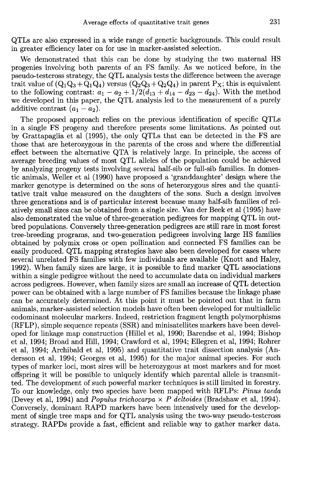(aTLs are also expressed in a wide range of genetic backgrounds. This could result in greater efficiency later on for use in marker-assisted selection.

We demonstrated that this can be done by studying the two maternal HS progenies involving both parents of an FS family. As we noticed before, in the pseudo-testcross strategy, the QTL analysis tests the difference between the average trait value of  $(Q_1Q_3+Q_1Q_4)$  versus  $(Q_2Q_3+Q_2Q_4)$  in parent  $P_X$ ; this is equivalent QTLs are also expressed in a wide range of genetic backgrounds. This could result<br>in greater efficiency later on for use in marker-assisted selection.<br>We demonstrated that this can be done by studying the two maternal HS<br> to the following contrast:  $a$ <br>we developed in this paper<br>additive contrast  $(a_1 - a_2)$ .

The proposed approach relies on the previous identification of specific QTLs in a single FS progeny and therefore presents some limitations. As pointed out by Grattapaglia et al (1995), the only (aTLs that can be detected in the FS are those that are heterozygous in the parents of the cross and where the differential effect between the alternative QTA is relatively large. In principle, the access of average breeding values of most QTL alleles of the population could be achieved by analyzing progeny tests involving several half-sib or full-sib families. In domestic animals, Weller et al (1990) have proposed a 'granddaughter' design where the marker genotype is determined on the sons of heterozygous sires and the quantitative trait value measured on the daughters of the sons. Such a design involves three generations and is of particular interest because many half-sib families of relatively small sizes can be obtained from a single sire. Van der Beek et al (1995) have also demonstrated the value of three-generation pedigrees for mapping QTL in outbred populations. Conversely three-generation pedigrees are still rare in most forest tree-breeding programs, and two-generation pedigrees involving large HS families obtained by polymix cross or open pollination and connected FS families can be easily produced. QTL mapping strategies have also been developed for cases where several unrelated FS families with few individuals are available (Knott and Haley, 1992). When family sizes are large, it is possible to find marker QTL associations within a single pedigree without the need to accumulate data on individual markers across pedigrees. However, when family sizes are small an increase of QTL detection power can be obtained with a large number of FS families because the linkage phase can be accurately determined. At this point it must be pointed out that in farm animals, marker-assisted selection models have often been developed for multiallelic codominant molecular markers. Indeed, restriction fragment length polymorphisms (RFLP), simple sequence repeats (SSR) and minisatellites markers have been developed for linkage map construction (Hillel et al, 1990; Barendse et al, 1994; Bishop et al, 1994; Broad and Hill, 1994; Crawford et al, 1994; Ellegren et al, 1994; Rohrer et al, 1994; Archibald et al, 1995) and quantitative trait dissection analysis (Andersson et al, 1994; Georges et al, 1995) for the major animal species. For such types of marker loci, most sires will be heterozygous at most markers and for most offspring it will be possible to uniquely identify which parental allele is transmitted. The development of such powerful marker techniques is still limited in forestry. To our knowledge, only two species have been mapped with RFLPs: Pinus taeda (Devey et al, 1994) and *Populus trichocarpa*  $\times$  *P deltoides* (Bradshaw et al, 1994). Conversely, dominant RAPD markers have been intensively used for the development of single tree maps and for QTL analysis using the two-way pseudo-testcross strategy. RAPDs provide a fast, efficient and reliable way to gather marker data.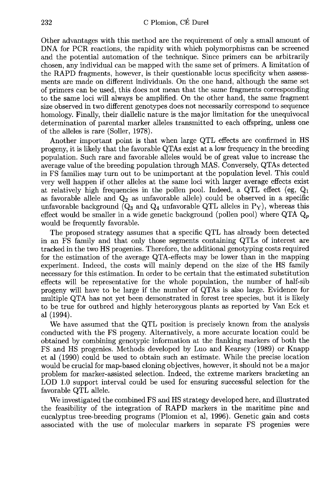Other advantages with this method are the requirement of only a small amount of DNA for PCR reactions, the rapidity with which polymorphisms can be screened and the potential automation of the technique. Since primers can be arbitrarily chosen, any individual can be mapped with the same set of primers. A limitation of the RAPD fragments, however, is their questionable locus specificity when assessments are made on different individuals. On the one hand, although the same set of primers can be used, this does not mean that the same fragments corresponding to the same loci will always be amplified. On the other hand, the same fragment size observed in two different genotypes does not necessarily correspond to sequence homology. Finally, their diallelic nature is the major limitation for the unequivocal determination of parental marker alleles transmitted to each offspring, unless one of the alleles is rare (Soller, 1978).

Another important point is that when large QTL effects are confirmed in HS progeny, it is likely that the favorable QTAs exist at a low frequency in the breeding population. Such rare and favorable alleles would be of great value to increase the average value of the breeding population through MAS. Conversely, QTAs detected in FS families may turn out to be unimportant at the population level. This could very well happen if other alleles at the same loci with larger average effects exist<br>at relatively high frequencies in the pollen pool. Indeed, a QTL effect (eg,  $Q_1$ as favorable allele and  $Q_2$  as unfavorable allele) could be observed in a specific unfavorable background ( $Q_3$  and  $Q_4$  unfavorable QTL alleles in  $P_Y$ ), whereas this effect would be smaller in a wide genetic background (pollen pool) where  $\overline{Q}$ TA  $Q_p$ would be frequently favorable.

The proposed strategy assumes that a specific QTL has already been detected in an FS family and that only those segments containing QTLs of interest are tracked in the two HS progenies. Therefore, the additional genotyping costs required for the estimation of the average QTA-effects may be lower than in the mapping experiment. Indeed, the costs will mainly depend on the size of the HS family necessary for this estimation. In order to be certain that the estimated substitution effects will be representative for the whole population, the number of half-sib progeny will have to be large if the number of QTAs is also large. Evidence for multiple QTA has not yet been demonstrated in forest tree species, but it is likely to be true for outbred and highly heterozygous plants as reported by Van Eck et al (1994).

We have assumed that the QTL position is precisely known from the analysis conducted with the FS progeny. Alternatively, a more accurate location could be obtained by combining genotypic information at the flanking markers of both the FS and HS progenies. Methods developed by Luo and Kearsey (1989) or Knapp et al (1990) could be used to obtain such an estimate. While the precise location would be crucial for map-based cloning objectives, however, it should not be a major problem for marker-assisted selection. Indeed, the extreme markers bracketing an LOD 1.0 support interval could be used for ensuring successful selection for the favorable QTL allele.

We investigated the combined FS and HS strategy developed here, and illustrated the feasibility of the integration of RAPD markers in the maritime pine and eucalyptus tree-breeding programs (Plomion et al, 1996). Genetic gain and costs associated with the use of molecular markers in separate FS progenies were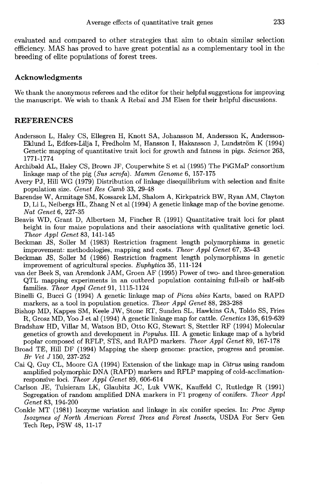evaluated and compared to other strategies that aim to obtain similar selection efficiency. MAS has proved to have great potential as a complementary tool in the breeding of elite populations of forest trees.

#### Acknowledgments

We thank the anonymous referees and the editor for their helpful suggestions for improving the manuscript. We wish to thank A Rebai and JM Elsen for their helpful discussions.

#### REFERENCES

- Andersson L, Haley CS, Ellegren H, Knott SA, Johansson M, Andersson K, Andersson-Eklund L, Edfors-Lilja I, Fredholm M, Hansson I, Hakansson J, Lundström K (1994) Genetic mapping of quantitative trait loci for growth and fatness in pigs. Science 263, 1771-1774
- Archibald AL, Haley CS, Brown JF, Couperwhite S et al (1995) The PiGMaP consortium linkage map of the pig (Sus scrofa). Mamm Genome 6, 157-175
- Avery PJ, Hill WG (1979) Distribution of linkage disequilibrium with selection and finite population size. Genet Res Camb 33, 29-48
- Barendse W, Armitage SM, Kossarek LM, Shalom A, Kirkpatrick BW, Ryan AM, Clayton D, Li L, Neibergs HL, Zhang N et al (1994) A genetic linkage map of the bovine genome. Nat Genet 6, 227-35
- Beavis WD, Grant D, Albertsen M, Fincher R (1991) Quantitative trait loci for plant height in four maize populations and their associations with qualitative genetic loci. Theor Appl Genet 83, 141-145
- Beckman JS, Soller M (1983) Restriction fragment length polymorphisms in genetic improvement: methodologies, mapping and costs. Theor Appl Genet 67, 35-43
- Beckman JS, Soller M (1986) Restriction fragment length polymorphisms in genetic improvement of agricultural species. Euphytica 35, 111-124
- van der Beek S, van Arendonk JAM, Groen AF (1995) Power of two- and three-generation QTL mapping experiments in an outbred population containing full-sib or half-sib families. Theor Appl Genet 91, 1115-1124
- Binelli G, Bucci G (1994) A genetic linkage map of Picea abies Karts, based on RAPD markers, as a tool in population genetics. Theor Appl Genet 88, 283-288
- Bishop MD, Kappes SM, Keele JW, Stone RT, Sunden SL, Hawkins GA, Toldo SS, Fries R, Grosz MD, Yoo J et al (1994) A genetic linkage map for cattle. Genetics 136, 619-639
- Bradshaw HD, Villar M, Watson BD, Otto KG, Stewart S, Stettler RF (1994) Molecular genetics of growth and development in Populus. III. A genetic linkage map of a hybrid poplar composed of RFLP, STS, and RAPD markers. Theor Appl Genet 89, 167-178
- Broad TE, Hill DF (1994) Mapping the sheep genome: practice, progress and promise. Br Vet J 150, 237-252
- Cai Q, Guy CL, Moore GA (1994) Extension of the linkage map in Citrus using random amplified polymorphic DNA (RAPD) markers and RFLP mapping of cold-acclimationresponsive loci. Theor Appl Genet 89, 606-614
- Carlson JE, Tulsieram LK, Glaubitz JC, Luk VWK, Kauffeld C, Rutledge R (1991) Segregation of random amplified DNA markers in Fl progeny of conifers. Theor Appl Genet 83, 194-200
- Conkle MT (1981) Isozyme variation and linkage in six conifer species. In: Proc Symp Isozymes of North American Forest Trees and Forest Insects, USDA For Serv Gen Tech Rep, PSW 48, 11-17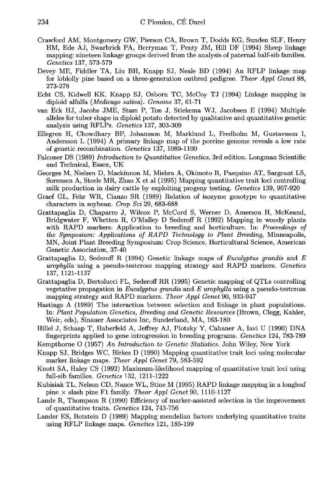- Crawford AM, Montgomery GW, Pierson CA, Brown T, Dodds KG, Sunden SLF, Henry HM, Ede AJ, Swarbrick PA, Berryman T, Penty JM, Hill DF (1994) Sheep linkage mapping: nineteen linkage groups derived from the analysis of paternal half-sib families. Genetics 137, 573-579
- Devey ME, Fiddler TA, Liu BH, Knapp SJ, Neale BD (1994) An RFLP linkage map<br>for lobolly pine based on a three-generation outbred pedigree. Theor Appl Genet 88,<br>273-278 273-278
- Echt CS, Kidwell KK, Knapp SJ, Osborn TC, McCoy TJ (1994) Linkage mapping in
- diploid alfalfa (*Medicago sativa*). Genome 37, 61-71<br>van Eck HJ, Jacobs JME, Stam P, Ton J, Stiekema WJ, Jacobsen E (1994) Multiple<br>alleles for tuber shape in diploid potato detected by qualitative and quantitative geneti alleles for tuber shape in diploid potato detected by qualitative and quantitative genetic analysis using RFLPs. *Genetics* 137, 303-309
- Ellegren H, Chowdhary BP, Johansson M, Marklund L, Fredholm M, Gustavsson I, Andersson L (1994) A primary linkage map of the porcine genome reveals a low rate of genetic recombination. Genetics 137, 1089-1100
- Falconer DS (1989) Introduction to Quantitative Genetics, 3rd edition. Longman Scientific and Technical, Essex, UK
- Georges M, Nielsen D, Mackinnon M, Mishra A, Okimoto R, Pasquino AT, Sargeant LS, Sorensen A, Steele MR, Zhao X et al (1995) Mapping quantitative trait loci controlling milk production in dairy cattle by exploiting progeny testing. Genetics 139, 907-920
- Graef GL, Fehr WR, Cianzo SR (1989) Relation of isozyme genotype to quantitative characters in soybean. Crop Sci 29, 683-688
- Grattapaglia D, Chaparro J, Wilcox P, McCord S, Werner D, Amerson H, McKeand, Bridgwater F, Whetten R, O'Malley D Sederoff R (1992) Mapping in woody plants with RAPD markers: Application to breeding and horticulture. In: Proceedings of the Symposium: Applications of RAPD Technology to Plant Breeding, Minneapolis, MN, Joint Plant Breeding Symposium: Crop Science, Horticultural Science, American Genetic Association, 37-40
- Grattapaglia D, Sederoff R (1994) Genetic linkage maps of Eucalyptus grandis and  $E$ urophylla using a pseudo-testcross mapping strategy and RAPD markers. Genetics 137, 1121-1137
- Grattapaglia D, Bertolucci FL, Sederoff RR (1995) Genetic mapping of QTLs controlling vegetative propagation in Eucalyptus grandis and  $E$  urophylla using a pseudo-testcross mapping strategy and RAPD markers. Theor Appl Genet 90, 933-947
- Hastings A (1989) The interaction between selection and linkage in plant populations. In: Plant Population Genetics, Breeding and Genetic Resources (Brown, Clegg, Kahler, Weir, eds), Sinauer Associates Inc, Sunderland, MA, 163-180
- Hillel J, Schaap T, Haberfeld A, Jeffrey AJ, Plotzky Y, Cahaner A, lavi U (1990) DNA fingerprints applied to gene introgression in breeding programs. Genetics 124, 783-789
- Kempthorne 0 (1957) An Introduction to Genetic Statistics. John Wiley, New York
- Knapp SJ, Bridges WC, Birkes D (1990) Mapping quantitative trait loci using molecular<br>marker linkage maps. Theor AppI Genet 79, 583-592<br>Knatt SA, Heley CS (1990) Marijum illelille in sing of quantitative trait loci using
- Knott SA, Haley CS (1992) Maximum-likelihood mapping of quantitative trait loci using full-sib families. Genetics 132, 1211-1222
- Kubisiak TL, Nelson CD, Nance WL, Stine M (1995) RAPD linkage mapping in a longleaf pine  $\times$  slash pine F1 family. Theor Appl Genet 90, 1110-1127
- Lande R, Thompson R (1990) Efficiency of marker-assisted selection in the improvement of quantitative traits. Genetics 124, 743-756
- Lander ES, Botstein D (1989) Mapping mendelian factors underlying quantitative traits using RFLP linkage maps. Genetics 121, 185-199